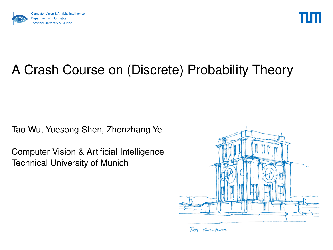



# A Crash Course on (Discrete) Probability Theory

Tao Wu, Yuesong Shen, Zhenzhang Ye

Computer Vision & Artificial Intelligence Technical University of Munich

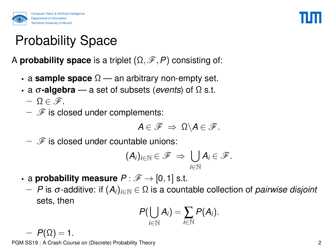

# Probability Space

A **probability space** is a triplet  $(\Omega, \mathscr{F}, P)$  consisting of:

- a **sample space** Ω an arbitrary non-empty set.
- a σ**-algebra** a set of subsets (*events*) of Ω s.t.
	- $-\Omega \in \mathscr{F}$ .
	- $\mathscr F$  is closed under complements:

$$
A\in\mathscr{F}\ \Rightarrow\ \Omega\backslash A\in\mathscr{F}.
$$

 $\mathscr F$  is closed under countable unions:

$$
(\mathcal{A}_i)_{i\in\mathbb{N}}\in\mathscr{F} \ \Rightarrow \ \bigcup_{i\in\mathbb{N}}A_i\in\mathscr{F}.
$$

- a **probability measure**  $P : \mathscr{F} \to [0,1]$  s.t.
	- − *P* is σ-additive: if (*Ai*)*i*∈<sup>N</sup> ∈ Ω is a countable collection of *pairwise disjoint* sets, then

$$
P(\bigcup_{i\in\mathbb{N}}A_i)=\sum_{i\in\mathbb{N}}P(A_i).
$$

 $-P(\Omega) = 1.$ PGM SS19 : A Crash Course on (Discrete) Probability Theory 2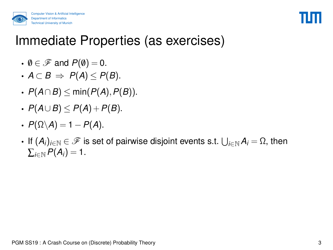



#### Immediate Properties (as exercises)

- $\emptyset \in \mathscr{F}$  and  $P(\emptyset) = 0$ .
- $A \subset B$  ⇒  $P(A) \le P(B)$ .
- *P*(*A*∩*B*) ≤ min(*P*(*A*),*P*(*B*)).
- *P*(*A*∪*B*) ≤ *P*(*A*) +*P*(*B*).
- $P(\Omega \backslash A) = 1 P(A)$ .
- If  $(A_i)_{i\in\mathbb{N}}\in\mathscr{F}$  is set of pairwise disjoint events s.t.  $\bigcup_{i\in\mathbb{N}}A_i=\Omega,$  then  $\sum_{i\in\mathbb{N}}P(A_i)=1$ .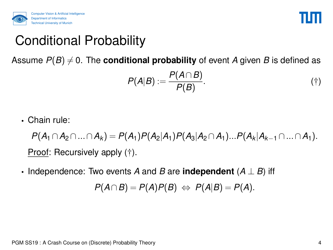



# Conditional Probability

Assume  $P(B) \neq 0$ . The **conditional probability** of event *A* given *B* is defined as

<span id="page-3-0"></span>
$$
P(A|B) := \frac{P(A \cap B)}{P(B)}.\tag{\dagger}
$$

• Chain rule:

*P*(*A*<sub>1</sub>∩*A*<sub>2</sub>∩...∩*A*<sub>*k*</sub>) = *P*(*A*<sub>1</sub>)*P*(*A*<sub>2</sub>|*A*<sub>1</sub>)*P*(*A*<sub>3</sub>|*A*<sub>2</sub>∩*A*<sub>1</sub>)...*P*(*A*<sub>*k*</sub>|*A*<sub>*k*−1</sub>∩...∩*A*<sub>1</sub>). Proof: Recursively apply ([†](#page-3-0)).

• Independence: Two events *A* and *B* are **independent** (*A* ⊥ *B*) iff

$$
P(A \cap B) = P(A)P(B) \Leftrightarrow P(A|B) = P(A).
$$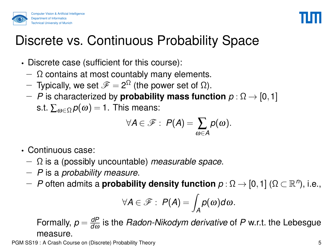



## Discrete vs. Continuous Probability Space

- Discrete case (sufficient for this course):
	- $\Omega$  contains at most countably many elements.
	- $-$  Typically, we set  $\mathscr{F} = 2^{\Omega}$  (the power set of  $\Omega$ ).
	- − *P* is characterized by **probability mass function** *p* : Ω → [0,1] s.t.  $\sum_{\omega \in \Omega} p(\omega) = 1$ . This means:

$$
\forall A \in \mathscr{F}: P(A) = \sum_{\omega \in A} p(\omega).
$$

- Continuous case:
	- − Ω is a (possibly uncountable) *measurable space*.
	- − *P* is a *probability measure*.
	- $-$  *P* often admits a **probability density function**  $ρ$  :  $Ω → [0, 1]$  ( $Ω ⊂ ℝ<sup>n</sup>$ ), i.e.,

$$
\forall A \in \mathscr{F}: P(A) = \int_A p(\omega) d\omega.
$$

Formally,  $p = \frac{dP}{dQ}$ *d*ω is the *Radon-Nikodym derivative* of *P* w.r.t. the Lebesgue measure.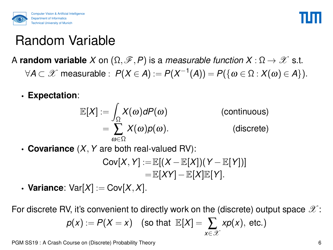



### Random Variable

- A **random variable** *X* on  $(\Omega, \mathscr{F}, P)$  is a *measurable function*  $X : \Omega \to \mathscr{X}$  s.t.  $\forall A\subset \mathscr{X}$  measurable :  $P(X\in A):=P(X^{-1}(A))=P(\{\omega\in \Omega: X(\omega)\in A\}).$ 
	- **Expectation**:

$$
\mathbb{E}[X] := \int_{\Omega} X(\omega) dP(\omega)
$$
 (continuous)  
= 
$$
\sum_{\omega \in \Omega} X(\omega) p(\omega).
$$
 (discrete)

• **Covariance** (*X*,*Y* are both real-valued RV):

$$
Cov[X, Y] := \mathbb{E}[(X - \mathbb{E}[X])(Y - \mathbb{E}[Y])]
$$
  
=  $\mathbb{E}[XY] - \mathbb{E}[X]\mathbb{E}[Y].$ 

• **Variance**:  $Var[X] := Cov[X, X]$ .

For discrete RV, it's convenient to directly work on the (discrete) output space  $\mathscr{X}$ :

$$
p(x) := P(X = x) \quad \text{(so that } \ \mathbb{E}[X] = \sum_{x \in \mathscr{X}} x p(x), \ \text{etc.} \text{)}
$$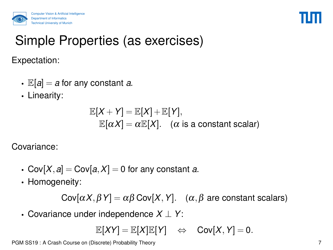

#### Simple Properties (as exercises)

Expectation:

- $\mathbb{E}[a] = a$  for any constant *a*.
- Linearity:

$$
\mathbb{E}[X+Y] = \mathbb{E}[X] + \mathbb{E}[Y],
$$
  

$$
\mathbb{E}[\alpha X] = \alpha \mathbb{E}[X].
$$
 ( $\alpha$  is a constant scalar)

Covariance:

- Cov $[X, a]$  = Cov $[a, X]$  = 0 for any constant *a*.
- Homogeneity:

Cov $[\alpha X, \beta Y] = \alpha \beta$  Cov $[X, Y]$ .  $(\alpha, \beta$  are constant scalars)

• Covariance under independence *X* ⊥ *Y*:

$$
\mathbb{E}[XY] = \mathbb{E}[X]\mathbb{E}[Y] \quad \Leftrightarrow \quad \text{Cov}[X,Y] = 0.
$$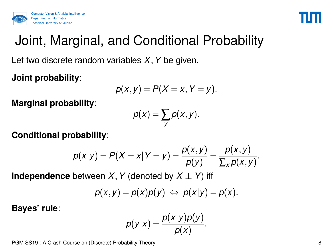



# Joint, Marginal, and Conditional Probability

Let two discrete random variables *X*,*Y* be given.

**Joint probability**:

$$
p(x,y)=P(X=x,Y=y).
$$

**Marginal probability**:

$$
p(x) = \sum_{y} p(x, y).
$$

**Conditional probability**:

$$
p(x|y) = P(X = x | Y = y) = \frac{p(x, y)}{p(y)} = \frac{p(x, y)}{\sum_{x} p(x, y)}.
$$

**Independence** between *X*, *Y* (denoted by  $X \perp Y$ ) iff

$$
p(x,y) = p(x)p(y) \Leftrightarrow p(x|y) = p(x).
$$

**Bayes' rule**:

$$
\rho(y|x) = \frac{\rho(x|y)\rho(y)}{\rho(x)}.
$$